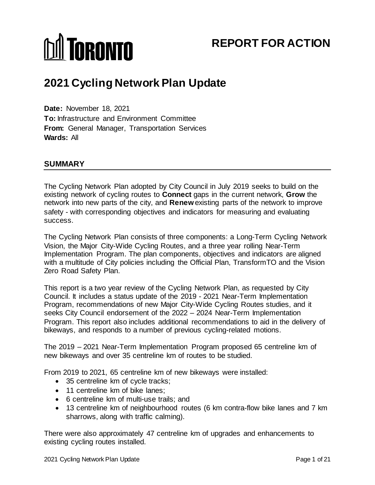# **MI TORONTO**

# **REPORT FOR ACTION**

# **2021 Cycling Network Plan Update**

**Date:** November 18, 2021 **To:** Infrastructure and Environment Committee **From:** General Manager, Transportation Services **Wards:** All

# **SUMMARY**

The Cycling Network Plan adopted by City Council in July 2019 seeks to build on the existing network of cycling routes to **Connect** gaps in the current network, **Grow** the network into new parts of the city, and **Renew** existing parts of the network to improve safety - with corresponding objectives and indicators for measuring and evaluating success.

The Cycling Network Plan consists of three components: a Long-Term Cycling Network Vision, the Major City-Wide Cycling Routes, and a three year rolling Near-Term Implementation Program. The plan components, objectives and indicators are aligned with a multitude of City policies including the Official Plan, TransformTO and the Vision Zero Road Safety Plan.

This report is a two year review of the Cycling Network Plan, as requested by City Council. It includes a status update of the 2019 - 2021 Near-Term Implementation Program, recommendations of new Major City-Wide Cycling Routes studies, and it seeks City Council endorsement of the 2022 – 2024 Near-Term Implementation Program. This report also includes additional recommendations to aid in the delivery of bikeways, and responds to a number of previous cycling-related motions.

The 2019 – 2021 Near-Term Implementation Program proposed 65 centreline km of new bikeways and over 35 centreline km of routes to be studied.

From 2019 to 2021, 65 centreline km of new bikeways were installed:

- 35 centreline km of cycle tracks;
- 11 centreline km of bike lanes:
- 6 centreline km of multi-use trails; and
- 13 centreline km of neighbourhood routes (6 km contra-flow bike lanes and 7 km sharrows, along with traffic calming).

There were also approximately 47 centreline km of upgrades and enhancements to existing cycling routes installed.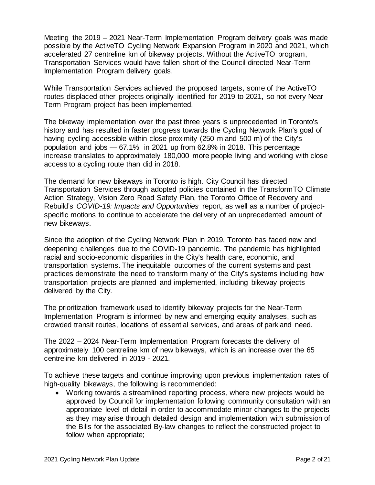Meeting the 2019 – 2021 Near-Term Implementation Program delivery goals was made possible by the ActiveTO Cycling Network Expansion Program in 2020 and 2021, which accelerated 27 centreline km of bikeway projects. Without the ActiveTO program, Transportation Services would have fallen short of the Council directed Near-Term Implementation Program delivery goals.

While Transportation Services achieved the proposed targets, some of the ActiveTO routes displaced other projects originally identified for 2019 to 2021, so not every Near-Term Program project has been implemented.

The bikeway implementation over the past three years is unprecedented in Toronto's history and has resulted in faster progress towards the Cycling Network Plan's goal of having cycling accessible within close proximity (250 m and 500 m) of the City's population and jobs — 67.1% in 2021 up from 62.8% in 2018. This percentage increase translates to approximately 180,000 more people living and working with close access to a cycling route than did in 2018.

The demand for new bikeways in Toronto is high. City Council has directed Transportation Services through adopted policies contained in the TransformTO Climate Action Strategy, Vision Zero Road Safety Plan, the Toronto Office of Recovery and Rebuild's *COVID-19: Impacts and Opportunities* report, as well as a number of projectspecific motions to continue to accelerate the delivery of an unprecedented amount of new bikeways.

Since the adoption of the Cycling Network Plan in 2019, Toronto has faced new and deepening challenges due to the COVID-19 pandemic. The pandemic has highlighted racial and socio-economic disparities in the City's health care, economic, and transportation systems. The inequitable outcomes of the current systems and past practices demonstrate the need to transform many of the City's systems including how transportation projects are planned and implemented, including bikeway projects delivered by the City.

The prioritization framework used to identify bikeway projects for the Near-Term Implementation Program is informed by new and emerging equity analyses, such as crowded transit routes, locations of essential services, and areas of parkland need.

The 2022 – 2024 Near-Term Implementation Program forecasts the delivery of approximately 100 centreline km of new bikeways, which is an increase over the 65 centreline km delivered in 2019 - 2021.

To achieve these targets and continue improving upon previous implementation rates of high-quality bikeways, the following is recommended:

• Working towards a streamlined reporting process, where new projects would be approved by Council for implementation following community consultation with an appropriate level of detail in order to accommodate minor changes to the projects as they may arise through detailed design and implementation with submission of the Bills for the associated By-law changes to reflect the constructed project to follow when appropriate;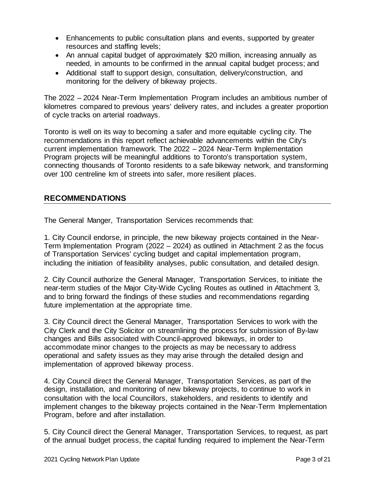- Enhancements to public consultation plans and events, supported by greater resources and staffing levels;
- An annual capital budget of approximately \$20 million, increasing annually as needed, in amounts to be confirmed in the annual capital budget process; and
- Additional staff to support design, consultation, delivery/construction, and monitoring for the delivery of bikeway projects.

The 2022 – 2024 Near-Term Implementation Program includes an ambitious number of kilometres compared to previous years' delivery rates, and includes a greater proportion of cycle tracks on arterial roadways.

Toronto is well on its way to becoming a safer and more equitable cycling city. The recommendations in this report reflect achievable advancements within the City's current implementation framework. The 2022 – 2024 Near-Term Implementation Program projects will be meaningful additions to Toronto's transportation system, connecting thousands of Toronto residents to a safe bikeway network, and transforming over 100 centreline km of streets into safer, more resilient places.

#### **RECOMMENDATIONS**

The General Manger, Transportation Services recommends that:

1. City Council endorse, in principle, the new bikeway projects contained in the Near-Term Implementation Program (2022 – 2024) as outlined in Attachment 2 as the focus of Transportation Services' cycling budget and capital implementation program, including the initiation of feasibility analyses, public consultation, and detailed design.

2. City Council authorize the General Manager, Transportation Services, to initiate the near-term studies of the Major City-Wide Cycling Routes as outlined in Attachment 3, and to bring forward the findings of these studies and recommendations regarding future implementation at the appropriate time.

3. City Council direct the General Manager, Transportation Services to work with the City Clerk and the City Solicitor on streamlining the process for submission of By-law changes and Bills associated with Council-approved bikeways, in order to accommodate minor changes to the projects as may be necessary to address operational and safety issues as they may arise through the detailed design and implementation of approved bikeway process.

4. City Council direct the General Manager, Transportation Services, as part of the design, installation, and monitoring of new bikeway projects, to continue to work in consultation with the local Councillors, stakeholders, and residents to identify and implement changes to the bikeway projects contained in the Near-Term Implementation Program, before and after installation.

5. City Council direct the General Manager, Transportation Services*,* to request, as part of the annual budget process, the capital funding required to implement the Near-Term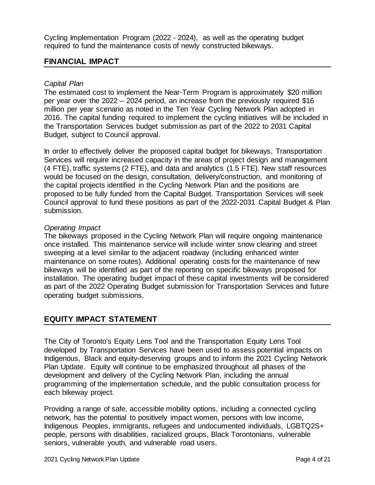Cycling Implementation Program (2022 - 2024), as well as the operating budget required to fund the maintenance costs of newly constructed bikeways.

#### **FINANCIAL IMPACT**

#### *Capital Plan*

The estimated cost to implement the Near-Term Program is approximately \$20 million per year over the 2022 – 2024 period, an increase from the previously required \$16 million per year scenario as noted in the Ten Year Cycling Network Plan adopted in 2016. The capital funding required to implement the cycling initiatives will be included in the Transportation Services budget submission as part of the 2022 to 2031 Capital Budget, subject to Council approval.

In order to effectively deliver the proposed capital budget for bikeways, Transportation Services will require increased capacity in the areas of project design and management (4 FTE), traffic systems (2 FTE), and data and analytics (1.5 FTE). New staff resources would be focused on the design, consultation, delivery/construction, and monitoring of the capital projects identified in the Cycling Network Plan and the positions are proposed to be fully funded from the Capital Budget. Transportation Services will seek Council approval to fund these positions as part of the 2022-2031 Capital Budget & Plan submission.

#### *Operating Impact*

The bikeways proposed in the Cycling Network Plan will require ongoing maintenance once installed. This maintenance service will include winter snow clearing and street sweeping at a level similar to the adjacent roadway (including enhanced winter maintenance on some routes). Additional operating costs for the maintenance of new bikeways will be identified as part of the reporting on specific bikeways proposed for installation. The operating budget impact of these capital investments will be considered as part of the 2022 Operating Budget submission for Transportation Services and future operating budget submissions.

# **EQUITY IMPACT STATEMENT**

The City of Toronto's Equity Lens Tool and the Transportation Equity Lens Tool developed by Transportation Services have been used to assess potential impacts on Indigenous, Black and equity-deserving groups and to inform the 2021 Cycling Network Plan Update. Equity will continue to be emphasized throughout all phases of the development and delivery of the Cycling Network Plan, including the annual programming of the implementation schedule, and the public consultation process for each bikeway project.

Providing a range of safe, accessible mobility options, including a connected cycling network, has the potential to positively impact women, persons with low income, Indigenous Peoples, immigrants, refugees and undocumented individuals, LGBTQ2S+ people, persons with disabilities, racialized groups, Black Torontonians, vulnerable seniors, vulnerable youth, and vulnerable road users.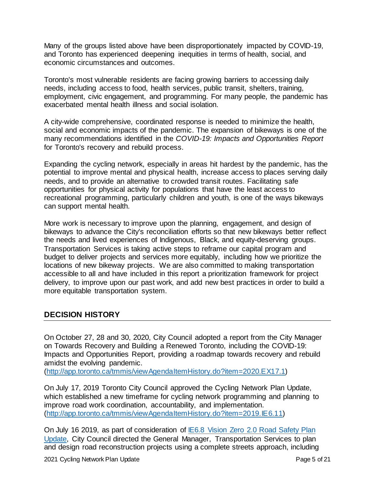Many of the groups listed above have been disproportionately impacted by COVID-19, and Toronto has experienced deepening inequities in terms of health, social, and economic circumstances and outcomes.

Toronto's most vulnerable residents are facing growing barriers to accessing daily needs, including access to food, health services, public transit, shelters, training, employment, civic engagement, and programming. For many people, the pandemic has exacerbated mental health illness and social isolation.

A city-wide comprehensive, coordinated response is needed to minimize the health, social and economic impacts of the pandemic. The expansion of bikeways is one of the many recommendations identified in the *[COVID-19: Impacts and Opportunities Report](https://www.toronto.ca/wp-content/uploads/2020/09/9133-torr-covid19-impacts-opportunities-2020.pdf)* for Toronto's recovery and rebuild process.

Expanding the cycling network, especially in areas hit hardest by the pandemic, has the potential to improve mental and physical health, increase access to places serving daily needs, and to provide an alternative to crowded transit routes. Facilitating safe opportunities for physical activity for populations that have the least access to recreational programming, particularly children and youth, is one of the ways bikeways can support mental health.

More work is necessary to improve upon the planning, engagement, and design of bikeways to advance the City's reconciliation efforts so that new bikeways better reflect the needs and lived experiences of Indigenous, Black, and equity-deserving groups. Transportation Services is taking active steps to reframe our capital program and budget to deliver projects and services more equitably, including how we prioritize the locations of new bikeway projects. We are also committed to making transportation accessible to all and have included in this report a prioritization framework for project delivery, to improve upon our past work, and add new best practices in order to build a more equitable transportation system.

#### **DECISION HISTORY**

On October 27, 28 and 30, 2020, City Council adopted a report from the City Manager on Towards Recovery and Building a Renewed Toronto, including the COVID-19: Impacts and Opportunities Report, providing a roadmap towards recovery and rebuild amidst the evolving pandemic.

[\(http://app.toronto.ca/tmmis/viewAgendaItemHistory.do?item=2020.EX17.1\)](http://app.toronto.ca/tmmis/viewAgendaItemHistory.do?item=2020.EX17.1) 

On July 17, 2019 Toronto City Council approved the Cycling Network Plan Update, which established a new timeframe for cycling network programming and planning to improve road work coordination, accountability, and implementation. [\(http://app.toronto.ca/tmmis/viewAgendaItemHistory.do?item=2019.IE6.11\)](http://app.toronto.ca/tmmis/viewAgendaItemHistory.do?item=2019.IE6.11) 

On July 16 2019, as part of consideration of IE6.8 Vision Zero 2.0 Road Safety Plan [Update,](http://app.toronto.ca/tmmis/viewAgendaItemHistory.do?item=2019.IE6.8) City Council directed the General Manager, Transportation Services to plan and design road reconstruction projects using a complete streets approach, including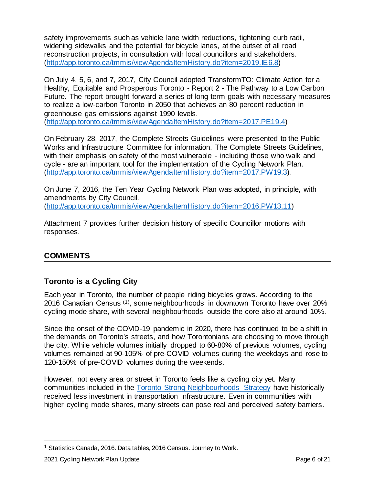safety improvements such as vehicle lane width reductions, tightening curb radii, widening sidewalks and the potential for bicycle lanes, at the outset of all road reconstruction projects, in consultation with local councillors and stakeholders. [\(http://app.toronto.ca/tmmis/viewAgendaItemHistory.do?item=2019.IE6.8\)](http://app.toronto.ca/tmmis/viewAgendaItemHistory.do?item=2019.IE6.8)

On July 4, 5, 6, and 7, 2017, City Council adopted TransformTO: Climate Action for a Healthy, Equitable and Prosperous Toronto - Report 2 - The Pathway to a Low Carbon Future. The report brought forward a series of long-term goals with necessary measures to realize a low-carbon Toronto in 2050 that achieves an 80 percent reduction in greenhouse gas emissions against 1990 levels. [\(http://app.toronto.ca/tmmis/viewAgendaItemHistory.do?item=2017.PE19.4\)](http://app.toronto.ca/tmmis/viewAgendaItemHistory.do?item=2017.PE19.4) 

On February 28, 2017, the Complete Streets Guidelines were presented to the Public Works and Infrastructure Committee for information. The Complete Streets Guidelines, with their emphasis on safety of the most vulnerable - including those who walk and cycle - are an important tool for the implementation of the Cycling Network Plan. [\(http://app.toronto.ca/tmmis/viewAgendaItemHistory.do?item=2017.PW19.3\).](http://app.toronto.ca/tmmis/viewAgendaItemHistory.do?item=2017.PW19.3)

On June 7, 2016, the Ten Year Cycling Network Plan was adopted, in principle, with amendments by City Council. [\(http://app.toronto.ca/tmmis/viewAgendaItemHistory.do?item=2016.PW13.11\)](http://app.toronto.ca/tmmis/viewAgendaItemHistory.do?item=2016.PW13.11) 

Attachment 7 provides further decision history of specific Councillor motions with responses.

# **COMMENTS**

# **Toronto is a Cycling City**

Each year in Toronto, the number of people riding bicycles grows. According to the 2016 Canadian Census ([1](#page-5-0)) , some neighbourhoods in downtown Toronto have over 20% cycling mode share, with several neighbourhoods outside the core also at around 10%.

Since the onset of the COVID-19 pandemic in 2020, there has continued to be a shift in the demands on Toronto's streets, and how Torontonians are choosing to move through the city. While vehicle volumes initially dropped to 60-80% of previous volumes, cycling volumes remained at 90-105% of pre-COVID volumes during the weekdays and rose to 120-150% of pre-COVID volumes during the weekends.

However, not every area or street in Toronto feels like a cycling city yet. Many communities included in the [Toronto Strong Neighbourhoods Strategy](https://www.toronto.ca/city-government/accountability-operations-customer-service/long-term-vision-plans-and-strategies/toronto-strong-neighbourhoods-strategy-2020/) have historically received less investment in transportation infrastructure. Even in communities with higher cycling mode shares, many streets can pose real and perceived safety barriers.

<span id="page-5-0"></span><sup>&</sup>lt;sup>1</sup> Statistics Canada, 2016. Data tables, 2016 Census. Journey to Work.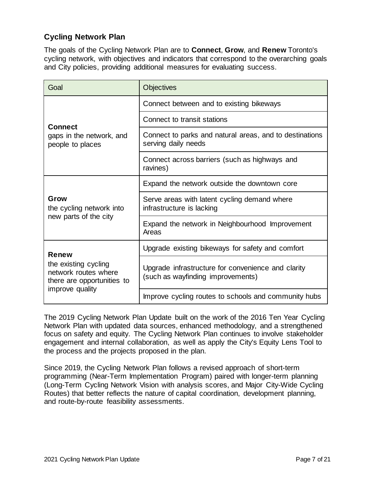# **Cycling Network Plan**

The goals of the Cycling Network Plan are to **Connect**, **Grow**, and **Renew** Toronto's cycling network, with objectives and indicators that correspond to the overarching goals and City policies, providing additional measures for evaluating success.

| Goal                                                                                                          | <b>Objectives</b>                                                                       |  |  |
|---------------------------------------------------------------------------------------------------------------|-----------------------------------------------------------------------------------------|--|--|
| <b>Connect</b><br>gaps in the network, and<br>people to places                                                | Connect between and to existing bikeways                                                |  |  |
|                                                                                                               | Connect to transit stations                                                             |  |  |
|                                                                                                               | Connect to parks and natural areas, and to destinations<br>serving daily needs          |  |  |
|                                                                                                               | Connect across barriers (such as highways and<br>ravines)                               |  |  |
| Grow<br>the cycling network into<br>new parts of the city                                                     | Expand the network outside the downtown core                                            |  |  |
|                                                                                                               | Serve areas with latent cycling demand where<br>infrastructure is lacking               |  |  |
|                                                                                                               | Expand the network in Neighbourhood Improvement<br>Areas                                |  |  |
| <b>Renew</b><br>the existing cycling<br>network routes where<br>there are opportunities to<br>improve quality | Upgrade existing bikeways for safety and comfort                                        |  |  |
|                                                                                                               | Upgrade infrastructure for convenience and clarity<br>(such as wayfinding improvements) |  |  |
|                                                                                                               | Improve cycling routes to schools and community hubs                                    |  |  |

The 2019 Cycling Network Plan Update built on the work of the 2016 Ten Year Cycling Network Plan with updated data sources, enhanced methodology, and a strengthened focus on safety and equity. The Cycling Network Plan continues to involve stakeholder engagement and internal collaboration, as well as apply the City's Equity Lens Tool to the process and the projects proposed in the plan.

Since 2019, the Cycling Network Plan follows a revised approach of short-term programming (Near-Term Implementation Program) paired with longer-term planning (Long-Term Cycling Network Vision with analysis scores, and Major City-Wide Cycling Routes) that better reflects the nature of capital coordination, development planning, and route-by-route feasibility assessments.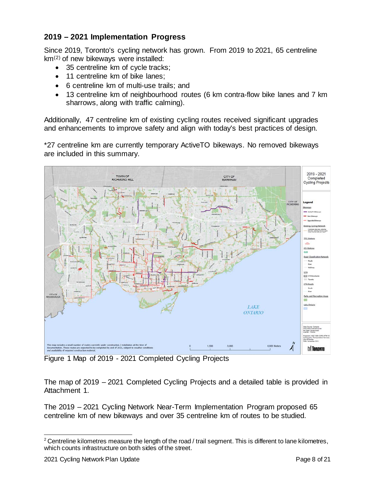# **2019 – 2021 Implementation Progress**

Since 2019, Toronto's cycling network has grown. From 2019 to 2021, 65 centreline km([2](#page-7-0)) of new bikeways were installed:

- 35 centreline km of cycle tracks;
- 11 centreline km of bike lanes;
- 6 centreline km of multi-use trails; and
- 13 centreline km of neighbourhood routes (6 km contra-flow bike lanes and 7 km sharrows, along with traffic calming).

Additionally, 47 centreline km of existing cycling routes received significant upgrades and enhancements to improve safety and align with today's best practices of design.

\*27 centreline km are currently temporary ActiveTO bikeways. No removed bikeways are included in this summary.



Figure 1 Map of 2019 - 2021 Completed Cycling Projects

The map of 2019 – 2021 Completed Cycling Projects and a detailed table is provided in Attachment 1.

The 2019 – 2021 Cycling Network Near-Term Implementation Program proposed 65 centreline km of new bikeways and over 35 centreline km of routes to be studied.

<span id="page-7-0"></span> $2$  Centreline kilometres measure the length of the road / trail segment. This is different to lane kilometres, which counts infrastructure on both sides of the street.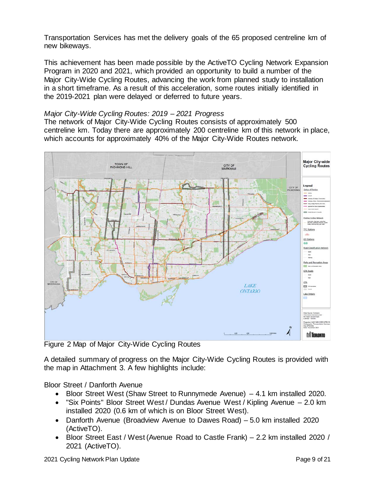Transportation Services has met the delivery goals of the 65 proposed centreline km of new bikeways.

This achievement has been made possible by the ActiveTO Cycling Network Expansion Program in 2020 and 2021, which provided an opportunity to build a number of the Major City-Wide Cycling Routes, advancing the work from planned study to installation in a short timeframe. As a result of this acceleration, some routes initially identified in the 2019-2021 plan were delayed or deferred to future years.

#### *Major City-Wide Cycling Routes: 2019 – 2021 Progress*

The network of Major City-Wide Cycling Routes consists of approximately 500 centreline km. Today there are approximately 200 centreline km of this network in place, which accounts for approximately 40% of the Major City-Wide Routes network.



Figure 2 Map of Major City-Wide Cycling Routes

A detailed summary of progress on the Major City-Wide Cycling Routes is provided with the map in Attachment 3. A few highlights include:

Bloor Street / Danforth Avenue

- Bloor Street West (Shaw Street to Runnymede Avenue) 4.1 km installed 2020.
- "Six Points" Bloor Street West / Dundas Avenue West / Kipling Avenue 2.0 km installed 2020 (0.6 km of which is on Bloor Street West).
- Danforth Avenue (Broadview Avenue to Dawes Road) 5.0 km installed 2020 (ActiveTO).
- Bloor Street East / West (Avenue Road to Castle Frank) 2.2 km installed 2020 / 2021 (ActiveTO).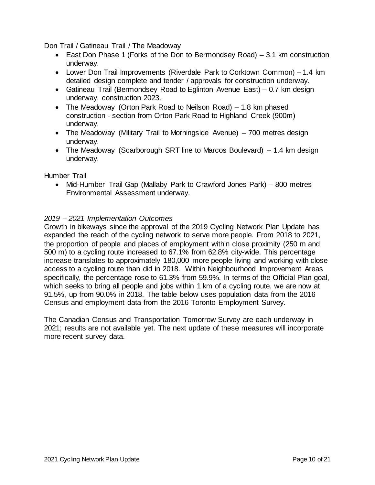Don Trail / Gatineau Trail / The Meadoway

- East Don Phase 1 (Forks of the Don to Bermondsey Road) 3.1 km construction underway.
- Lower Don Trail Improvements (Riverdale Park to Corktown Common) 1.4 km detailed design complete and tender / approvals for construction underway.
- Gatineau Trail (Bermondsey Road to Eglinton Avenue East) 0.7 km design underway, construction 2023.
- The Meadoway (Orton Park Road to Neilson Road) 1.8 km phased construction - section from Orton Park Road to Highland Creek (900m) underway.
- The Meadoway (Military Trail to Morningside Avenue) 700 metres design underway.
- The Meadoway (Scarborough SRT line to Marcos Boulevard) 1.4 km design underway.

Humber Trail

• Mid-Humber Trail Gap (Mallaby Park to Crawford Jones Park) – 800 metres Environmental Assessment underway.

#### *2019 – 2021 Implementation Outcomes*

Growth in bikeways since the approval of the 2019 Cycling Network Plan Update has expanded the reach of the cycling network to serve more people. From 2018 to 2021, the proportion of people and places of employment within close proximity (250 m and 500 m) to a cycling route increased to 67.1% from 62.8% city-wide. This percentage increase translates to approximately 180,000 more people living and working with close access to a cycling route than did in 2018. Within Neighbourhood Improvement Areas specifically, the percentage rose to 61.3% from 59.9%. In terms of the Official Plan goal, which seeks to bring all people and jobs within 1 km of a cycling route, we are now at 91.5%, up from 90.0% in 2018. The table below uses population data from the 2016 Census and employment data from the 2016 Toronto Employment Survey.

The Canadian Census and Transportation Tomorrow Survey are each underway in 2021; results are not available yet. The next update of these measures will incorporate more recent survey data.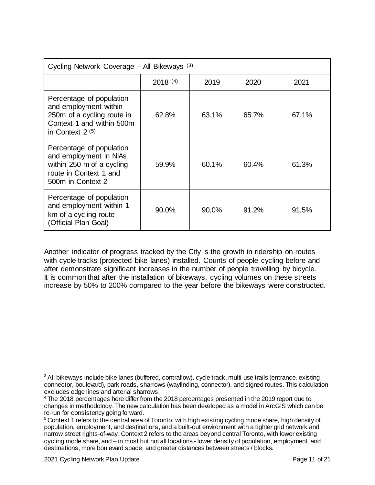| Cycling Network Coverage - All Bikeways (3)                                                                                       |              |       |       |       |  |  |  |
|-----------------------------------------------------------------------------------------------------------------------------------|--------------|-------|-------|-------|--|--|--|
|                                                                                                                                   | $2018^{(4)}$ | 2019  | 2020  | 2021  |  |  |  |
| Percentage of population<br>and employment within<br>250m of a cycling route in<br>Context 1 and within 500m<br>in Context $2(5)$ | 62.8%        | 63.1% | 65.7% | 67.1% |  |  |  |
| Percentage of population<br>and employment in NIAs<br>within 250 m of a cycling<br>route in Context 1 and<br>500m in Context 2    | 59.9%        | 60.1% | 60.4% | 61.3% |  |  |  |
| Percentage of population<br>and employment within 1<br>km of a cycling route<br>(Official Plan Goal)                              | 90.0%        | 90.0% | 91.2% | 91.5% |  |  |  |

Another indicator of progress tracked by the City is the growth in ridership on routes with cycle tracks (protected bike lanes) installed. Counts of people cycling before and after demonstrate significant increases in the number of people travelling by bicycle. It is common that after the installation of bikeways, cycling volumes on these streets increase by 50% to 200% compared to the year before the bikeways were constructed.

<span id="page-10-0"></span><sup>&</sup>lt;sup>3</sup> All bikeways include bike lanes (buffered, contraflow), cycle track, multi-use trails (entrance, existing connector, boulevard), park roads, sharrows (wayfinding, connector), and signed routes. This calculation excludes edge lines and arterial sharrows.

<span id="page-10-1"></span><sup>4</sup> The 2018 percentages here differ from the 2018 percentages presented in the 2019 report due to changes in methodology. The new calculation has been developed as a model in ArcGIS which can be re-run for consistency going forward.

<span id="page-10-2"></span><sup>&</sup>lt;sup>5</sup> Context 1 refers to the central area of Toronto, with high existing cycling mode share, high density of population, employment, and destinations, and a built-out environment with a tighter grid network and narrow street rights-of-way. Context 2 refers to the areas beyond central Toronto, with lower existing cycling mode share, and – in most but not all locations - lower density of population, employment, and destinations, more boulevard space, and greater distances between streets / blocks.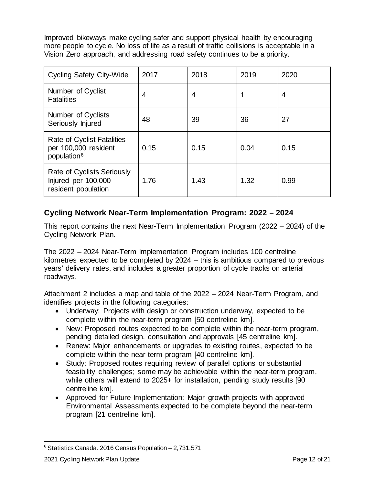Improved bikeways make cycling safer and support physical health by encouraging more people to cycle. No loss of life as a result of traffic collisions is acceptable in a Vision Zero approach, and addressing road safety continues to be a priority.

| <b>Cycling Safety City-Wide</b>                                                 | 2017 | 2018 | 2019 | 2020 |
|---------------------------------------------------------------------------------|------|------|------|------|
| Number of Cyclist<br><b>Fatalities</b>                                          | 4    | 4    |      | 4    |
| Number of Cyclists<br>Seriously Injured                                         | 48   | 39   | 36   | 27   |
| Rate of Cyclist Fatalities<br>per 100,000 resident<br>population <sup>6</sup>   | 0.15 | 0.15 | 0.04 | 0.15 |
| <b>Rate of Cyclists Seriously</b><br>Injured per 100,000<br>resident population | 1.76 | 1.43 | 1.32 | 0.99 |

# **Cycling Network Near-Term Implementation Program: 2022 – 2024**

This report contains the next Near-Term Implementation Program (2022 – 2024) of the Cycling Network Plan.

The 2022 – 2024 Near-Term Implementation Program includes 100 centreline kilometres expected to be completed by 2024 – this is ambitious compared to previous years' delivery rates, and includes a greater proportion of cycle tracks on arterial roadways.

Attachment 2 includes a map and table of the 2022 – 2024 Near-Term Program, and identifies projects in the following categories:

- Underway: Projects with design or construction underway, expected to be complete within the near-term program [50 centreline km].
- New: Proposed routes expected to be complete within the near-term program, pending detailed design, consultation and approvals [45 centreline km].
- Renew: Major enhancements or upgrades to existing routes, expected to be complete within the near-term program [40 centreline km].
- Study: Proposed routes requiring review of parallel options or substantial feasibility challenges; some may be achievable within the near-term program, while others will extend to 2025+ for installation, pending study results [90 centreline km].
- Approved for Future Implementation: Major growth projects with approved Environmental Assessments expected to be complete beyond the near-term program [21 centreline km].

<span id="page-11-0"></span> $6$  Statistics Canada. 2016 Census Population  $-2.731,571$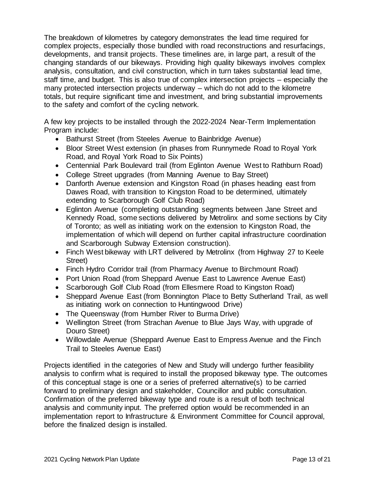The breakdown of kilometres by category demonstrates the lead time required for complex projects, especially those bundled with road reconstructions and resurfacings, developments, and transit projects. These timelines are, in large part, a result of the changing standards of our bikeways. Providing high quality bikeways involves complex analysis, consultation, and civil construction, which in turn takes substantial lead time, staff time, and budget. This is also true of complex intersection projects – especially the many protected intersection projects underway – which do not add to the kilometre totals, but require significant time and investment, and bring substantial improvements to the safety and comfort of the cycling network.

A few key projects to be installed through the 2022-2024 Near-Term Implementation Program include:

- Bathurst Street (from Steeles Avenue to Bainbridge Avenue)
- Bloor Street West extension (in phases from Runnymede Road to Royal York Road, and Royal York Road to Six Points)
- Centennial Park Boulevard trail (from Eglinton Avenue West to Rathburn Road)
- College Street upgrades (from Manning Avenue to Bay Street)
- Danforth Avenue extension and Kingston Road (in phases heading east from Dawes Road, with transition to Kingston Road to be determined, ultimately extending to Scarborough Golf Club Road)
- Eglinton Avenue (completing outstanding segments between Jane Street and Kennedy Road, some sections delivered by Metrolinx and some sections by City of Toronto; as well as initiating work on the extension to Kingston Road, the implementation of which will depend on further capital infrastructure coordination and Scarborough Subway Extension construction).
- Finch West bikeway with LRT delivered by Metrolinx (from Highway 27 to Keele Street)
- Finch Hydro Corridor trail (from Pharmacy Avenue to Birchmount Road)
- Port Union Road (from Sheppard Avenue East to Lawrence Avenue East)
- Scarborough Golf Club Road (from Ellesmere Road to Kingston Road)
- Sheppard Avenue East (from Bonnington Place to Betty Sutherland Trail, as well as initiating work on connection to Huntingwood Drive)
- The Queensway (from Humber River to Burma Drive)
- Wellington Street (from Strachan Avenue to Blue Jays Way, with upgrade of Douro Street)
- Willowdale Avenue (Sheppard Avenue East to Empress Avenue and the Finch Trail to Steeles Avenue East)

Projects identified in the categories of New and Study will undergo further feasibility analysis to confirm what is required to install the proposed bikeway type. The outcomes of this conceptual stage is one or a series of preferred alternative(s) to be carried forward to preliminary design and stakeholder, Councillor and public consultation. Confirmation of the preferred bikeway type and route is a result of both technical analysis and community input. The preferred option would be recommended in an implementation report to Infrastructure & Environment Committee for Council approval, before the finalized design is installed.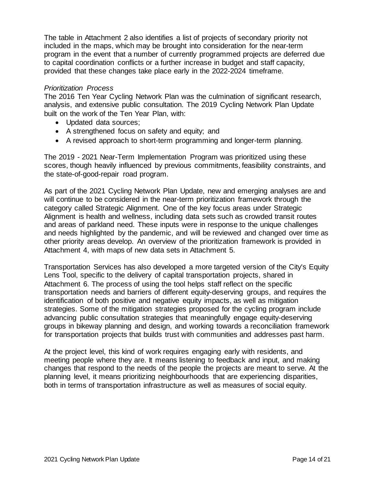The table in Attachment 2 also identifies a list of projects of secondary priority not included in the maps, which may be brought into consideration for the near-term program in the event that a number of currently programmed projects are deferred due to capital coordination conflicts or a further increase in budget and staff capacity, provided that these changes take place early in the 2022-2024 timeframe.

#### *Prioritization Process*

The 2016 Ten Year Cycling Network Plan was the culmination of significant research, analysis, and extensive public consultation. The 2019 Cycling Network Plan Update built on the work of the Ten Year Plan, with:

- Updated data sources:
- A strengthened focus on safety and equity; and
- A revised approach to short-term programming and longer-term planning.

The 2019 - 2021 Near-Term Implementation Program was prioritized using these scores, though heavily influenced by previous commitments, feasibility constraints, and the state-of-good-repair road program.

As part of the 2021 Cycling Network Plan Update, new and emerging analyses are and will continue to be considered in the near-term prioritization framework through the category called Strategic Alignment. One of the key focus areas under Strategic Alignment is health and wellness, including data sets such as crowded transit routes and areas of parkland need. These inputs were in response to the unique challenges and needs highlighted by the pandemic, and will be reviewed and changed over time as other priority areas develop. An overview of the prioritization framework is provided in Attachment 4, with maps of new data sets in Attachment 5.

Transportation Services has also developed a more targeted version of the City's Equity Lens Tool, specific to the delivery of capital transportation projects, shared in Attachment 6. The process of using the tool helps staff reflect on the specific transportation needs and barriers of different equity-deserving groups, and requires the identification of both positive and negative equity impacts, as well as mitigation strategies. Some of the mitigation strategies proposed for the cycling program include advancing public consultation strategies that meaningfully engage equity-deserving groups in bikeway planning and design, and working towards a reconciliation framework for transportation projects that builds trust with communities and addresses past harm.

At the project level, this kind of work requires engaging early with residents, and meeting people where they are. It means listening to feedback and input, and making changes that respond to the needs of the people the projects are meant to serve. At the planning level, it means prioritizing neighbourhoods that are experiencing disparities, both in terms of transportation infrastructure as well as measures of social equity.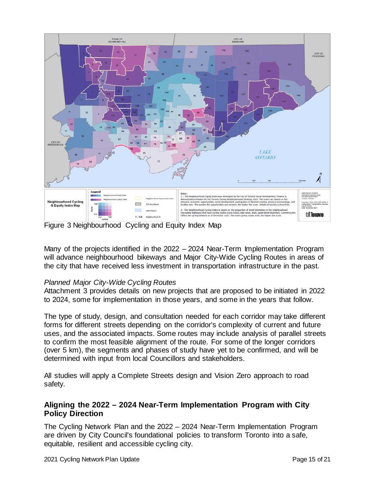

Figure 3 Neighbourhood Cycling and Equity Index Map

Many of the projects identified in the 2022 – 2024 Near-Term Implementation Program will advance neighbourhood bikeways and Major City-Wide Cycling Routes in areas of the city that have received less investment in transportation infrastructure in the past.

#### *Planned Major City-Wide Cycling Routes*

Attachment 3 provides details on new projects that are proposed to be initiated in 2022 to 2024, some for implementation in those years, and some in the years that follow.

The type of study, design, and consultation needed for each corridor may take different forms for different streets depending on the corridor's complexity of current and future uses, and the associated impacts. Some routes may include analysis of parallel streets to confirm the most feasible alignment of the route. For some of the longer corridors (over 5 km), the segments and phases of study have yet to be confirmed, and will be determined with input from local Councillors and stakeholders.

All studies will apply a Complete Streets design and Vision Zero approach to road safety.

# **Aligning the 2022 – 2024 Near-Term Implementation Program with City Policy Direction**

The Cycling Network Plan and the 2022 – 2024 Near-Term Implementation Program are driven by City Council's foundational policies to transform Toronto into a safe, equitable, resilient and accessible cycling city.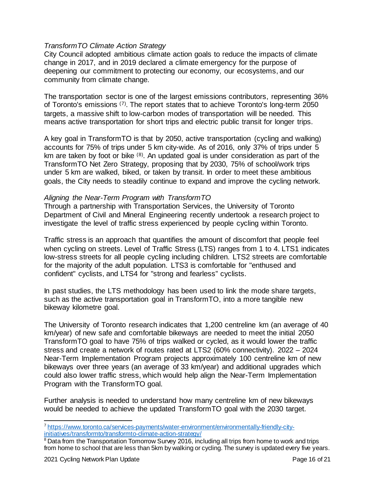#### *TransformTO Climate Action Strategy*

City Council adopted ambitious climate action goals to reduce the impacts of climate change in 2017, and in 2019 declared a climate emergency for the purpose of deepening our commitment to protecting our economy, our ecosystems, and our community from climate change.

The transportation sector is one of the largest emissions contributors, representing 36% of Toronto's emissions ([7](#page-15-0)). The report states that to achieve Toronto's long-term 2050 targets, a massive shift to low-carbon modes of transportation will be needed. This means active transportation for short trips and electric public transit for longer trips.

A key goal in TransformTO is that by 2050, active transportation (cycling and walking) accounts for 75% of trips under 5 km city-wide. As of 2016, only 37% of trips under 5 km are taken by foot or bike ([8](#page-15-1)). An updated goal is under consideration as part of the TransformTO Net Zero Strategy, proposing that by 2030, 75% of school/work trips under 5 km are walked, biked, or taken by transit. In order to meet these ambitious goals, the City needs to steadily continue to expand and improve the cycling network.

#### *Aligning the Near-Term Program with TransformTO*

Through a partnership with Transportation Services, the University of Toronto Department of Civil and Mineral Engineering recently undertook a research project to investigate the level of traffic stress experienced by people cycling within Toronto.

Traffic stress is an approach that quantifies the amount of discomfort that people feel when cycling on streets. Level of Traffic Stress (LTS) ranges from 1 to 4. LTS1 indicates low-stress streets for all people cycling including children. LTS2 streets are comfortable for the majority of the adult population. LTS3 is comfortable for "enthused and confident" cyclists, and LTS4 for "strong and fearless" cyclists.

In past studies, the LTS methodology has been used to link the mode share targets, such as the active transportation goal in TransformTO, into a more tangible new bikeway kilometre goal.

The University of Toronto research indicates that 1,200 centreline km (an average of 40 km/year) of new safe and comfortable bikeways are needed to meet the initial 2050 TransformTO goal to have 75% of trips walked or cycled, as it would lower the traffic stress and create a network of routes rated at LTS2 (60% connectivity). 2022 – 2024 Near-Term Implementation Program projects approximately 100 centreline km of new bikeways over three years (an average of 33 km/year) and additional upgrades which could also lower traffic stress, which would help align the Near-Term Implementation Program with the TransformTO goal.

Further analysis is needed to understand how many centreline km of new bikeways would be needed to achieve the updated TransformTO goal with the 2030 target.

<span id="page-15-0"></span> <sup>7</sup> [https://www.toronto.ca/services-payments/water-environment/environmentally-friendly-city](https://www.toronto.ca/services-payments/water-environment/environmentally-friendly-city-initiatives/transformto/transformto-climate-action-strategy/)[initiatives/transformto/transformto-climate-action-strategy/](https://www.toronto.ca/services-payments/water-environment/environmentally-friendly-city-initiatives/transformto/transformto-climate-action-strategy/)

<span id="page-15-1"></span><sup>&</sup>lt;sup>8</sup> Data from the Transportation Tomorrow Survey 2016, including all trips from home to work and trips from home to school that are less than 5km by walking or cycling. The survey is updated every five years.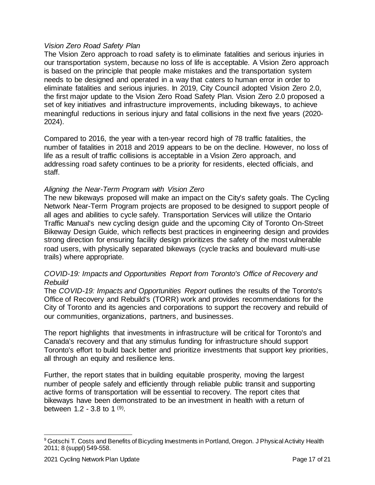#### *Vision Zero Road Safety Plan*

The Vision Zero approach to road safety is to eliminate fatalities and serious injuries in our transportation system, because no loss of life is acceptable. A Vision Zero approach is based on the principle that people make mistakes and the transportation system needs to be designed and operated in a way that caters to human error in order to eliminate fatalities and serious injuries. In 2019, City Council adopted Vision Zero 2.0, the first major update to the Vision Zero Road Safety Plan. Vision Zero 2.0 proposed a set of key initiatives and infrastructure improvements, including bikeways, to achieve meaningful reductions in serious injury and fatal collisions in the next five years (2020- 2024).

Compared to 2016, the year with a ten-year record high of 78 traffic fatalities, the number of fatalities in 2018 and 2019 appears to be on the decline. However, no loss of life as a result of traffic collisions is acceptable in a Vision Zero approach, and addressing road safety continues to be a priority for residents, elected officials, and staff.

#### *Aligning the Near-Term Program with Vision Zero*

The new bikeways proposed will make an impact on the City's safety goals. The Cycling Network Near-Term Program projects are proposed to be designed to support people of all ages and abilities to cycle safely. Transportation Services will utilize the Ontario Traffic Manual's new cycling design guide and the upcoming City of Toronto On-Street Bikeway Design Guide, which reflects best practices in engineering design and provides strong direction for ensuring facility design prioritizes the safety of the most vulnerable road users, with physically separated bikeways (cycle tracks and boulevard multi-use trails) where appropriate.

#### *COVID-19: Impacts and Opportunities Report from Toronto's Office of Recovery and Rebuild*

The *COVID-19: Impacts and Opportunities Report* outlines the results of the Toronto's Office of Recovery and Rebuild's (TORR) work and provides recommendations for the City of Toronto and its agencies and corporations to support the recovery and rebuild of our communities, organizations, partners, and businesses.

The report highlights that investments in infrastructure will be critical for Toronto's and Canada's recovery and that any stimulus funding for infrastructure should support Toronto's effort to build back better and prioritize investments that support key priorities, all through an equity and resilience lens.

Further, the report states that in building equitable prosperity, moving the largest number of people safely and efficiently through reliable public transit and supporting active forms of transportation will be essential to recovery. The report cites that bikeways have been demonstrated to be an investment in health with a return of between 1.2 - 3.8 to 1 ([9](#page-16-0)).

<span id="page-16-0"></span><sup>&</sup>lt;sup>9</sup> Gotschi T. Costs and Benefits of Bicycling Investments in Portland, Oregon. J Physical Activity Health 2011; 8 (suppl) 549-558.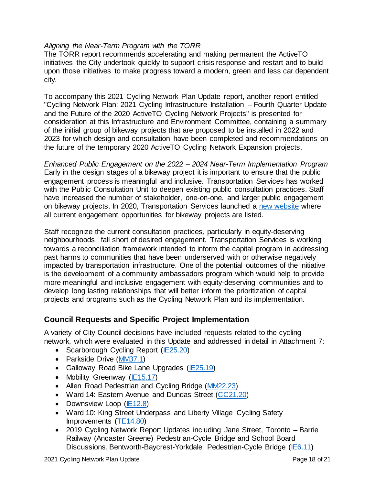#### *Aligning the Near-Term Program with the TORR*

The TORR report recommends accelerating and making permanent the ActiveTO initiatives the City undertook quickly to support crisis response and restart and to build upon those initiatives to make progress toward a modern, green and less car dependent city.

To accompany this 2021 Cycling Network Plan Update report, another report entitled "Cycling Network Plan: 2021 Cycling Infrastructure Installation – Fourth Quarter Update and the Future of the 2020 ActiveTO Cycling Network Projects" is presented for consideration at this Infrastructure and Environment Committee, containing a summary of the initial group of bikeway projects that are proposed to be installed in 2022 and 2023 for which design and consultation have been completed and recommendations on the future of the temporary 2020 ActiveTO Cycling Network Expansion projects.

*Enhanced Public Engagement on the 2022 – 2024 Near-Term Implementation Program* Early in the design stages of a bikeway project it is important to ensure that the public engagement process is meaningful and inclusive. Transportation Services has worked with the Public Consultation Unit to deepen existing public consultation practices. Staff have increased the number of stakeholder, one-on-one, and larger public engagement on bikeway projects. In 2020, Transportation Services launched a [new website](https://www.toronto.ca/services-payments/streets-parking-transportation/cycling-in-toronto/cycling-public-consultations/) where all current engagement opportunities for bikeway projects are listed.

Staff recognize the current consultation practices, particularly in equity-deserving neighbourhoods, fall short of desired engagement. Transportation Services is working towards a reconciliation framework intended to inform the capital program in addressing past harms to communities that have been underserved with or otherwise negatively impacted by transportation infrastructure. One of the potential outcomes of the initiative is the development of a community ambassadors program which would help to provide more meaningful and inclusive engagement with equity-deserving communities and to develop long lasting relationships that will better inform the prioritization of capital projects and programs such as the Cycling Network Plan and its implementation.

#### **Council Requests and Specific Project Implementation**

A variety of City Council decisions have included requests related to the cycling network, which were evaluated in this Update and addressed in detail in Attachment 7:

- Scarborough Cycling Report [\(IE25.20\)](http://app.toronto.ca/tmmis/viewAgendaItemHistory.do?item=2021.IE25.20)
- Parkside Drive [\(MM37.1\)](http://app.toronto.ca/tmmis/viewAgendaItemHistory.do?item=2021.MM37.1)
- Galloway Road Bike Lane Upgrades [\(IE25.19\)](http://app.toronto.ca/tmmis/viewAgendaItemHistory.do?item=2021.IE25.19)
- Mobility Greenway [\(IE15.17\)](http://app.toronto.ca/tmmis/viewAgendaItemHistory.do?item=2020.IE14.17)
- Allen Road Pedestrian and Cycling Bridge [\(MM22.23\)](http://app.toronto.ca/tmmis/viewAgendaItemHistory.do?item=2020.MM22.23)
- Ward 14: Eastern Avenue and Dundas Street [\(CC21.20\)](http://app.toronto.ca/tmmis/viewAgendaItemHistory.do?item=2020.CC21.20)
- Downsview Loop [\(IE12.8\)](http://app.toronto.ca/tmmis/viewAgendaItemHistory.do?item=2020.IE12.8)
- Ward 10: King Street Underpass and Liberty Village Cycling Safety Improvements [\(TE14.80\)](http://app.toronto.ca/tmmis/viewAgendaItemHistory.do?item=2020.TE14.80)
- 2019 Cycling Network Report Updates including Jane Street, Toronto Barrie Railway (Ancaster Greene) Pedestrian-Cycle Bridge and School Board Discussions, Bentworth-Baycrest-Yorkdale Pedestrian-Cycle Bridge [\(IE6.11\)](http://app.toronto.ca/tmmis/viewAgendaItemHistory.do?item=2019.IE6.11)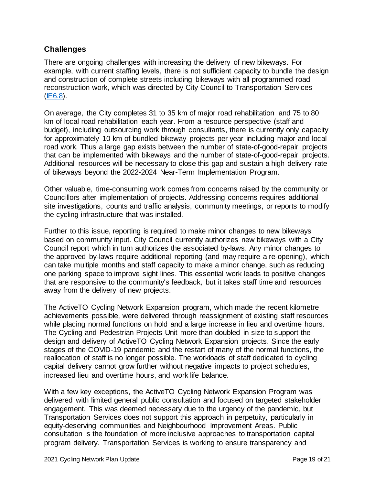# **Challenges**

There are ongoing challenges with increasing the delivery of new bikeways. For example, with current staffing levels, there is not sufficient capacity to bundle the design and construction of complete streets including bikeways with all programmed road reconstruction work, which was directed by City Council to Transportation Services [\(IE6.8\)](http://app.toronto.ca/tmmis/viewAgendaItemHistory.do?item=2019.IE6.8).

On average, the City completes 31 to 35 km of major road rehabilitation and 75 to 80 km of local road rehabilitation each year. From a resource perspective (staff and budget), including outsourcing work through consultants, there is currently only capacity for approximately 10 km of bundled bikeway projects per year including major and local road work. Thus a large gap exists between the number of state-of-good-repair projects that can be implemented with bikeways and the number of state-of-good-repair projects. Additional resources will be necessary to close this gap and sustain a high delivery rate of bikeways beyond the 2022-2024 Near-Term Implementation Program.

Other valuable, time-consuming work comes from concerns raised by the community or Councillors after implementation of projects. Addressing concerns requires additional site investigations, counts and traffic analysis, community meetings, or reports to modify the cycling infrastructure that was installed.

Further to this issue, reporting is required to make minor changes to new bikeways based on community input. City Council currently authorizes new bikeways with a City Council report which in turn authorizes the associated by-laws. Any minor changes to the approved by-laws require additional reporting (and may require a re-opening), which can take multiple months and staff capacity to make a minor change, such as reducing one parking space to improve sight lines. This essential work leads to positive changes that are responsive to the community's feedback, but it takes staff time and resources away from the delivery of new projects.

The ActiveTO Cycling Network Expansion program, which made the recent kilometre achievements possible, were delivered through reassignment of existing staff resources while placing normal functions on hold and a large increase in lieu and overtime hours. The Cycling and Pedestrian Projects Unit more than doubled in size to support the design and delivery of ActiveTO Cycling Network Expansion projects. Since the early stages of the COVID-19 pandemic and the restart of many of the normal functions, the reallocation of staff is no longer possible. The workloads of staff dedicated to cycling capital delivery cannot grow further without negative impacts to project schedules, increased lieu and overtime hours, and work life balance.

With a few key exceptions, the ActiveTO Cycling Network Expansion Program was delivered with limited general public consultation and focused on targeted stakeholder engagement. This was deemed necessary due to the urgency of the pandemic, but Transportation Services does not support this approach in perpetuity, particularly in equity-deserving communities and Neighbourhood Improvement Areas. Public consultation is the foundation of more inclusive approaches to transportation capital program delivery. Transportation Services is working to ensure transparency and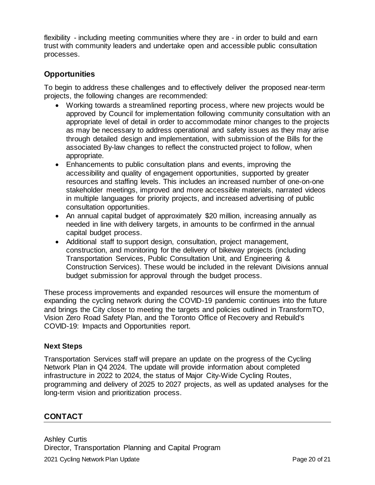flexibility - including meeting communities where they are - in order to build and earn trust with community leaders and undertake open and accessible public consultation processes.

# **Opportunities**

To begin to address these challenges and to effectively deliver the proposed near-term projects, the following changes are recommended:

- Working towards a streamlined reporting process, where new projects would be approved by Council for implementation following community consultation with an appropriate level of detail in order to accommodate minor changes to the projects as may be necessary to address operational and safety issues as they may arise through detailed design and implementation, with submission of the Bills for the associated By-law changes to reflect the constructed project to follow, when appropriate.
- Enhancements to public consultation plans and events, improving the accessibility and quality of engagement opportunities, supported by greater resources and staffing levels. This includes an increased number of one-on-one stakeholder meetings, improved and more accessible materials, narrated videos in multiple languages for priority projects, and increased advertising of public consultation opportunities.
- An annual capital budget of approximately \$20 million, increasing annually as needed in line with delivery targets, in amounts to be confirmed in the annual capital budget process.
- Additional staff to support design, consultation, project management, construction, and monitoring for the delivery of bikeway projects (including Transportation Services, Public Consultation Unit, and Engineering & Construction Services). These would be included in the relevant Divisions annual budget submission for approval through the budget process.

These process improvements and expanded resources will ensure the momentum of expanding the cycling network during the COVID-19 pandemic continues into the future and brings the City closer to meeting the targets and policies outlined in TransformTO, Vision Zero Road Safety Plan, and the Toronto Office of Recovery and Rebuild's COVID-19: Impacts and Opportunities report.

# **Next Steps**

Transportation Services staff will prepare an update on the progress of the Cycling Network Plan in Q4 2024. The update will provide information about completed infrastructure in 2022 to 2024, the status of Major City-Wide Cycling Routes, programming and delivery of 2025 to 2027 projects, as well as updated analyses for the long-term vision and prioritization process.

# **CONTACT**